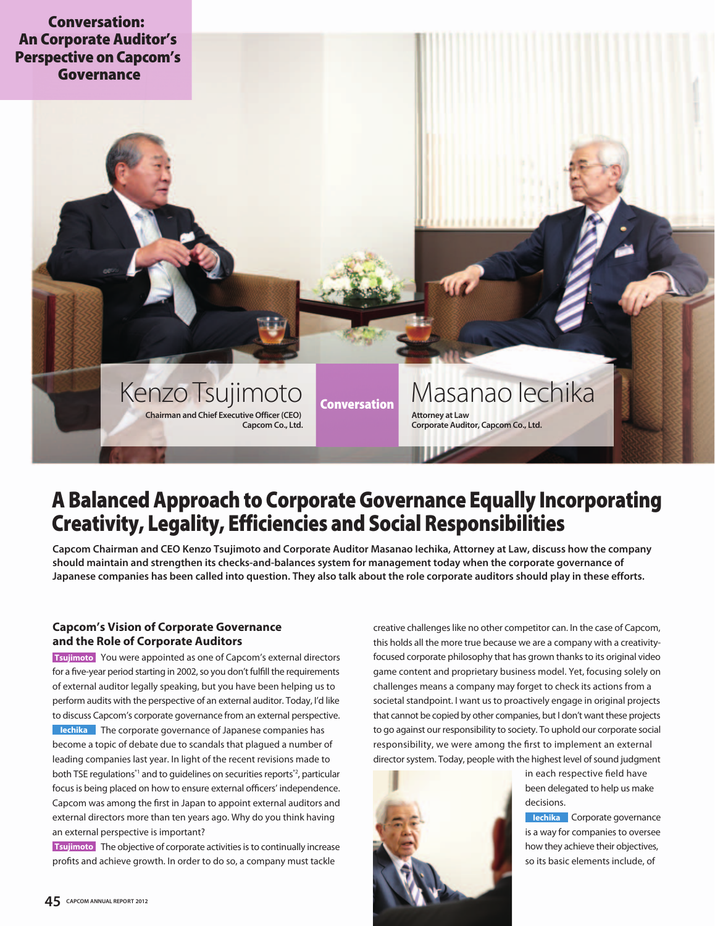

# **A Balanced Approach to Corporate Governance Equally Incorporating Creativity, Legality, Efficiencies and Social Responsibilities**

**Capcom Chairman and CEO Kenzo Tsujimoto and Corporate Auditor Masanao Iechika, Attorney at Law, discuss how the company should maintain and strengthen its checks-and-balances system for management today when the corporate governance of Japanese companies has been called into question. They also talk about the role corporate auditors should play in these efforts.** 

# **Capcom's Vision of Corporate Governance and the Role of Corporate Auditors**

 You were appointed as one of Capcom's external directors **Tsujimoto** for a five-year period starting in 2002, so you don't fulfill the requirements of external auditor legally speaking, but you have been helping us to perform audits with the perspective of an external auditor. Today, I'd like to discuss Capcom's corporate governance from an external perspective. **IECHIKA** The corporate governance of Japanese companies has become a topic of debate due to scandals that plagued a number of leading companies last year. In light of the recent revisions made to both TSE regulations<sup>\*1</sup> and to guidelines on securities reports<sup>\*2</sup>, particular focus is being placed on how to ensure external officers' independence. Capcom was among the first in Japan to appoint external auditors and external directors more than ten years ago. Why do you think having an external perspective is important?

**Tsujimoto** The objective of corporate activities is to continually increase profits and achieve growth. In order to do so, a company must tackle

creative challenges like no other competitor can. In the case of Capcom, this holds all the more true because we are a company with a creativityfocused corporate philosophy that has grown thanks to its original video game content and proprietary business model. Yet, focusing solely on challenges means a company may forget to check its actions from a societal standpoint. I want us to proactively engage in original projects that cannot be copied by other companies, but I don't want these projects to go against our responsibility to society. To uphold our corporate social responsibility, we were among the first to implement an external director system. Today, people with the highest level of sound judgment



in each respective field have been delegated to help us make decisions.

**Iechika** Corporate governance is a way for companies to oversee how they achieve their objectives, so its basic elements include, of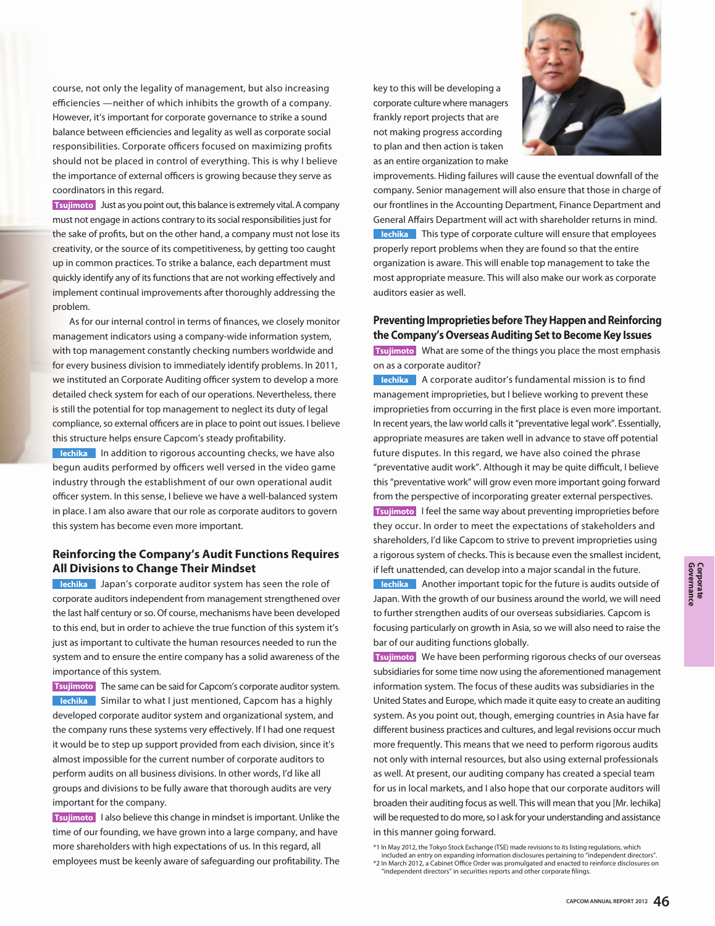course, not only the legality of management, but also increasing efficiencies —neither of which inhibits the growth of a company. However, it's important for corporate governance to strike a sound balance between efficiencies and legality as well as corporate social responsibilities. Corporate officers focused on maximizing profits should not be placed in control of everything. This is why I believe the importance of external officers is growing because they serve as coordinators in this regard.

**Tsujimoto** Just as you point out, this balance is extremely vital. A company must not engage in actions contrary to its social responsibilities just for the sake of profits, but on the other hand, a company must not lose its creativity, or the source of its competitiveness, by getting too caught up in common practices. To strike a balance, each department must quickly identify any of its functions that are not working effectively and implement continual improvements after thoroughly addressing the problem.

 As for our internal control in terms of finances, we closely monitor management indicators using a company-wide information system, with top management constantly checking numbers worldwide and for every business division to immediately identify problems. In 2011, we instituted an Corporate Auditing officer system to develop a more detailed check system for each of our operations. Nevertheless, there is still the potential for top management to neglect its duty of legal compliance, so external officers are in place to point out issues. I believe this structure helps ensure Capcom's steady profitability.

**In addition to rigorous accounting checks, we have also** begun audits performed by officers well versed in the video game industry through the establishment of our own operational audit officer system. In this sense, I believe we have a well-balanced system in place. I am also aware that our role as corporate auditors to govern this system has become even more important.

# **Reinforcing the Company's Audit Functions Requires All Divisions to Change Their Mindset**

**Interface Chapan's corporate auditor system has seen the role of** corporate auditors independent from management strengthened over the last half century or so. Of course, mechanisms have been developed to this end, but in order to achieve the true function of this system it's just as important to cultivate the human resources needed to run the system and to ensure the entire company has a solid awareness of the importance of this system.

**Tsujimoto** The same can be said for Capcom's corporate auditor system. **IECHIKA** Similar to what I just mentioned, Capcom has a highly developed corporate auditor system and organizational system, and the company runs these systems very effectively. If I had one request it would be to step up support provided from each division, since it's almost impossible for the current number of corporate auditors to perform audits on all business divisions. In other words, I'd like all groups and divisions to be fully aware that thorough audits are very important for the company.

**Tsujimoto** I also believe this change in mindset is important. Unlike the time of our founding, we have grown into a large company, and have more shareholders with high expectations of us. In this regard, all employees must be keenly aware of safeguarding our profitability. The

key to this will be developing a corporate culture where managers frankly report projects that are not making progress according to plan and then action is taken as an entire organization to make



improvements. Hiding failures will cause the eventual downfall of the company. Senior management will also ensure that those in charge of our frontlines in the Accounting Department, Finance Department and General Affairs Department will act with shareholder returns in mind. **IECHIKA** This type of corporate culture will ensure that employees properly report problems when they are found so that the entire organization is aware. This will enable top management to take the most appropriate measure. This will also make our work as corporate auditors easier as well.

# **Preventing Improprieties before They Happen and Reinforcing the Company's Overseas Auditing Set to Become Key Issues**

 What are some of the things you place the most emphasis **Tsujimoto** on as a corporate auditor?

**Interface A corporate auditor's fundamental mission is to find** management improprieties, but I believe working to prevent these improprieties from occurring in the first place is even more important. In recent years, the law world calls it "preventative legal work". Essentially, appropriate measures are taken well in advance to stave off potential future disputes. In this regard, we have also coined the phrase "preventative audit work". Although it may be quite difficult, I believe this "preventative work" will grow even more important going forward from the perspective of incorporating greater external perspectives. **Tsujimoto** I feel the same way about preventing improprieties before they occur. In order to meet the expectations of stakeholders and shareholders, I'd like Capcom to strive to prevent improprieties using a rigorous system of checks. This is because even the smallest incident, if left unattended, can develop into a major scandal in the future.

**Inchika** Another important topic for the future is audits outside of Japan. With the growth of our business around the world, we will need to further strengthen audits of our overseas subsidiaries. Capcom is focusing particularly on growth in Asia, so we will also need to raise the bar of our auditing functions globally.

 We have been performing rigorous checks of our overseas **Tsujimoto** subsidiaries for some time now using the aforementioned management information system. The focus of these audits was subsidiaries in the United States and Europe, which made it quite easy to create an auditing system. As you point out, though, emerging countries in Asia have far different business practices and cultures, and legal revisions occur much more frequently. This means that we need to perform rigorous audits not only with internal resources, but also using external professionals as well. At present, our auditing company has created a special team for us in local markets, and I also hope that our corporate auditors will broaden their auditing focus as well. This will mean that you [Mr. Iechika] will be requested to do more, so I ask for your understanding and assistance in this manner going forward.

<sup>\*1</sup> In May 2012, the Tokyo Stock Exchange (TSE) made revisions to its listing regulations, which

included an entry on expanding information disclosures pertaining to "independent directors". \*2 In March 2012, a Cabinet Office Order was promulgated and enacted to reinforce disclosures on

 <sup>&</sup>quot;independent directors" in securities reports and other corporate filings.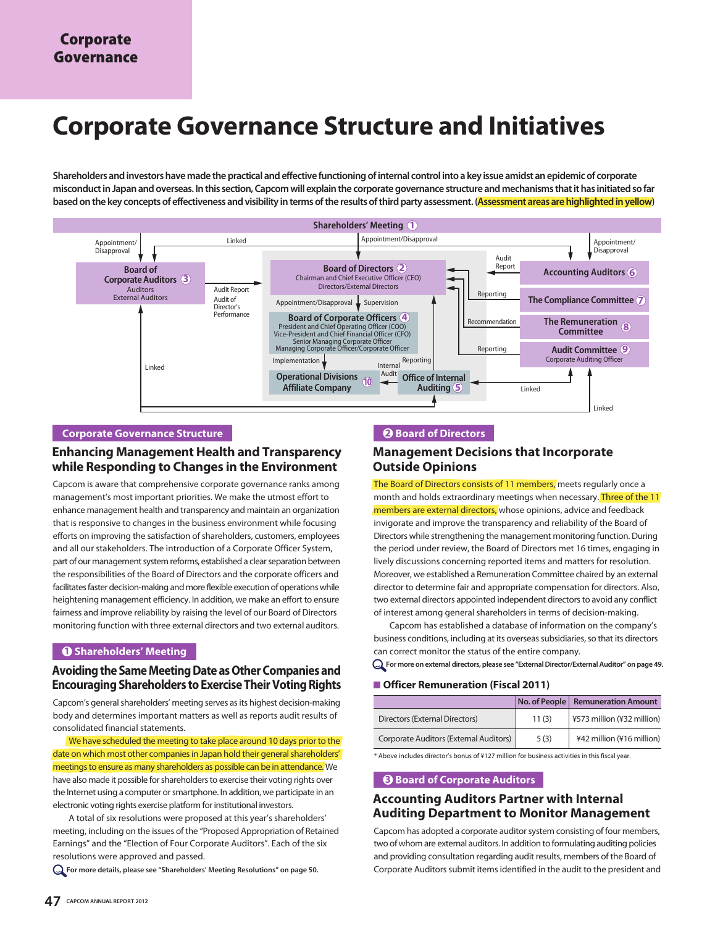# **Corporate Governance Structure and Initiatives**

**Shareholders and investors have made the practical and effective functioning of internal control into a key issue amidst an epidemic of corporate misconduct in Japan and overseas. In this section, Capcom will explain the corporate governance structure and mechanisms that it has initiated so far based on the key concepts of effectiveness and visibility in terms of the results of third party assessment. (Assessment areas are highlighted in yellow)**



## **Corporate Governance Structure**

# **Enhancing Management Health and Transparency while Responding to Changes in the Environment**

Capcom is aware that comprehensive corporate governance ranks among management's most important priorities. We make the utmost effort to enhance management health and transparency and maintain an organization that is responsive to changes in the business environment while focusing efforts on improving the satisfaction of shareholders, customers, employees and all our stakeholders. The introduction of a Corporate Officer System, part of our management system reforms, established a clear separation between the responsibilities of the Board of Directors and the corporate officers and facilitates faster decision-making and more flexible execution of operations while heightening management efficiency. In addition, we make an effort to ensure fairness and improve reliability by raising the level of our Board of Directors monitoring function with three external directors and two external auditors.

#### **1 Shareholders' Meeting**

# **Avoiding the Same Meeting Date as Other Companies and Encouraging Shareholders to Exercise Their Voting Rights**

Capcom's general shareholders' meeting serves as its highest decision-making body and determines important matters as well as reports audit results of consolidated financial statements.

We have scheduled the meeting to take place around 10 days prior to the date on which most other companies in Japan hold their general shareholders' meetings to ensure as many shareholders as possible can be in attendance. We have also made it possible for shareholders to exercise their voting rights over the Internet using a computer or smartphone. In addition, we participate in an electronic voting rights exercise platform for institutional investors.

 A total of six resolutions were proposed at this year's shareholders' meeting, including on the issues of the "Proposed Appropriation of Retained Earnings" and the "Election of Four Corporate Auditors". Each of the six resolutions were approved and passed.

**For more details, please see "Shareholders' Meeting Resolutions" on page 50.**

# **2 Board of Directors**

# **Management Decisions that Incorporate Outside Opinions**

The Board of Directors consists of 11 members, meets regularly once a month and holds extraordinary meetings when necessary. Three of the 11 members are external directors, whose opinions, advice and feedback invigorate and improve the transparency and reliability of the Board of Directors while strengthening the management monitoring function. During the period under review, the Board of Directors met 16 times, engaging in lively discussions concerning reported items and matters for resolution. Moreover, we established a Remuneration Committee chaired by an external director to determine fair and appropriate compensation for directors. Also, two external directors appointed independent directors to avoid any conflict of interest among general shareholders in terms of decision-making.

 Capcom has established a database of information on the company's business conditions, including at its overseas subsidiaries, so that its directors can correct monitor the status of the entire company.

**For more on external directors, please see "External Director/External Auditor" on page 49.**

#### ■ **Officer Remuneration (Fiscal 2011)**

|                                        | No. of People | <b>Remuneration Amount</b> |
|----------------------------------------|---------------|----------------------------|
| Directors (External Directors)         | 11(3)         | ¥573 million (¥32 million) |
| Corporate Auditors (External Auditors) | 5(3)          | ¥42 million (¥16 million)  |

\* Above includes director's bonus of ¥127 million for business activities in this fiscal year.

#### **3 Board of Corporate Auditors**

# **Accounting Auditors Partner with Internal Auditing Department to Monitor Management**

Capcom has adopted a corporate auditor system consisting of four members, two of whom are external auditors. In addition to formulating auditing policies and providing consultation regarding audit results, members of the Board of Corporate Auditors submit items identified in the audit to the president and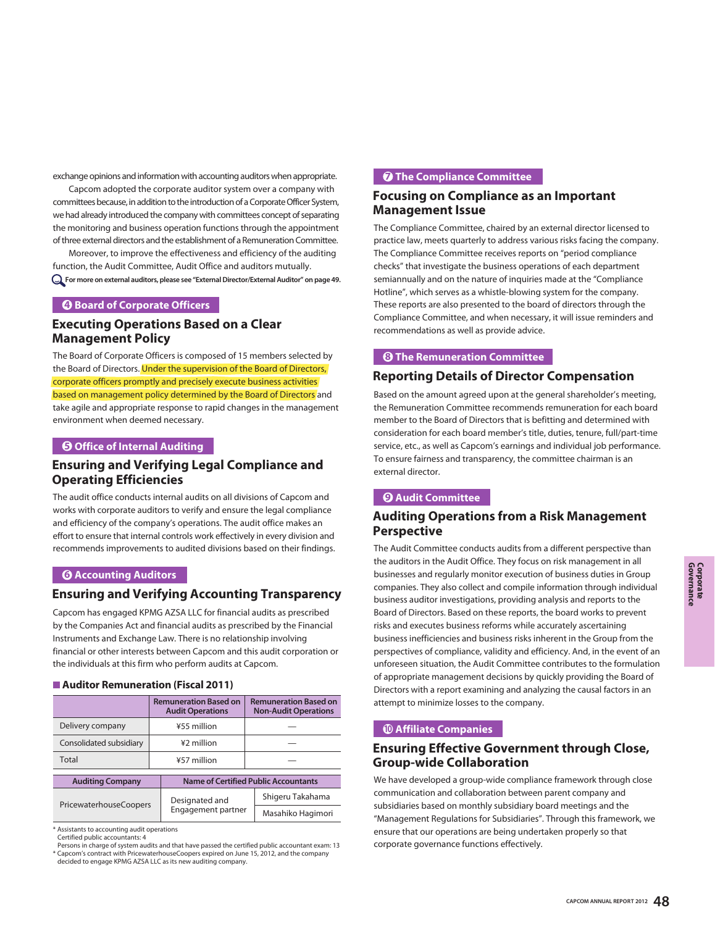exchange opinions and information with accounting auditors when appropriate.

 Capcom adopted the corporate auditor system over a company with committees because, in addition to the introduction of a Corporate Officer System, we had already introduced the company with committees concept of separating the monitoring and business operation functions through the appointment of three external directors and the establishment of a Remuneration Committee.

 Moreover, to improve the effectiveness and efficiency of the auditing function, the Audit Committee, Audit Office and auditors mutually. **For more on external auditors, please see "External Director/External Auditor" on page 49.**

### **4 Board of Corporate Officers**

# **Executing Operations Based on a Clear Management Policy**

The Board of Corporate Officers is composed of 15 members selected by the Board of Directors. Under the supervision of the Board of Directors, corporate officers promptly and precisely execute business activities based on management policy determined by the Board of Directors and take agile and appropriate response to rapid changes in the management environment when deemed necessary.

## **5 Office of Internal Auditing**

# **Ensuring and Verifying Legal Compliance and Operating Efficiencies**

The audit office conducts internal audits on all divisions of Capcom and works with corporate auditors to verify and ensure the legal compliance and efficiency of the company's operations. The audit office makes an effort to ensure that internal controls work effectively in every division and recommends improvements to audited divisions based on their findings.

## **6 Accounting Auditors**

# **Ensuring and Verifying Accounting Transparency**

Capcom has engaged KPMG AZSA LLC for financial audits as prescribed by the Companies Act and financial audits as prescribed by the Financial Instruments and Exchange Law. There is no relationship involving financial or other interests between Capcom and this audit corporation or the individuals at this firm who perform audits at Capcom.

#### **Auditor Remuneration (Fiscal 2011)**

|                               | <b>Remuneration Based on</b><br><b>Audit Operations</b> | <b>Remuneration Based on</b><br><b>Non-Audit Operations</b> |  |
|-------------------------------|---------------------------------------------------------|-------------------------------------------------------------|--|
| Delivery company              | ¥55 million                                             |                                                             |  |
| Consolidated subsidiary       | ¥2 million                                              |                                                             |  |
| Total                         | ¥57 million                                             |                                                             |  |
| <b>Auditing Company</b>       |                                                         | Name of Certified Public Accountants                        |  |
|                               | Designated and                                          | Shigeru Takahama                                            |  |
| <b>PricewaterhouseCoopers</b> | Engagement partner                                      | Masahiko Hagimori                                           |  |

\* Assistants to accounting audit operations

Certified public accountants: 4

Persons in charge of system audits and that have passed the certified public accountant exam: 13 \* Capcom's contract with PricewaterhouseCoopers expired on June 15, 2012, and the company decided to engage KPMG AZSA LLC as its new auditing company.

## **<sup>7</sup>** The Compliance Committee

# **Focusing on Compliance as an Important Management Issue**

The Compliance Committee, chaired by an external director licensed to practice law, meets quarterly to address various risks facing the company. The Compliance Committee receives reports on "period compliance checks" that investigate the business operations of each department semiannually and on the nature of inquiries made at the "Compliance Hotline", which serves as a whistle-blowing system for the company. These reports are also presented to the board of directors through the Compliance Committee, and when necessary, it will issue reminders and recommendations as well as provide advice.

### **8 The Remuneration Committee**

# **Reporting Details of Director Compensation**

Based on the amount agreed upon at the general shareholder's meeting, the Remuneration Committee recommends remuneration for each board member to the Board of Directors that is befitting and determined with consideration for each board member's title, duties, tenure, full/part-time service, etc., as well as Capcom's earnings and individual job performance. To ensure fairness and transparency, the committee chairman is an external director.

#### **9 Audit Committee**

# **Auditing Operations from a Risk Management Perspective**

The Audit Committee conducts audits from a different perspective than the auditors in the Audit Office. They focus on risk management in all businesses and regularly monitor execution of business duties in Group companies. They also collect and compile information through individual business auditor investigations, providing analysis and reports to the Board of Directors. Based on these reports, the board works to prevent risks and executes business reforms while accurately ascertaining business inefficiencies and business risks inherent in the Group from the perspectives of compliance, validity and efficiency. And, in the event of an unforeseen situation, the Audit Committee contributes to the formulation of appropriate management decisions by quickly providing the Board of Directors with a report examining and analyzing the causal factors in an attempt to minimize losses to the company.

### **10 Affiliate Companies**

# **Ensuring Effective Government through Close, Group-wide Collaboration**

We have developed a group-wide compliance framework through close communication and collaboration between parent company and subsidiaries based on monthly subsidiary board meetings and the "Management Regulations for Subsidiaries". Through this framework, we ensure that our operations are being undertaken properly so that corporate governance functions effectively.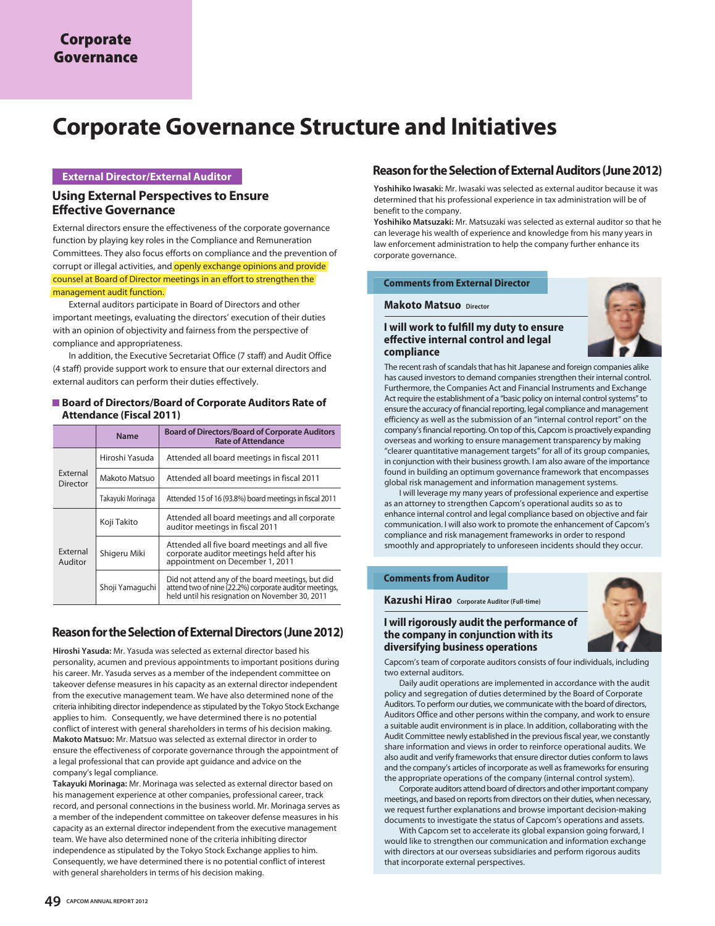# **Corporate Governance Structure and Initiatives**

# **External Director/External Auditor**

# **Using External Perspectives to Ensure Effective Governance**

External directors ensure the effectiveness of the corporate governance function by playing key roles in the Compliance and Remuneration Committees. They also focus efforts on compliance and the prevention of corrupt or illegal activities, and openly exchange opinions and provide counsel at Board of Director meetings in an effort to strengthen the management audit function.

 External auditors participate in Board of Directors and other important meetings, evaluating the directors' execution of their duties with an opinion of objectivity and fairness from the perspective of compliance and appropriateness.

 In addition, the Executive Secretariat Office (7 staff) and Audit Office (4 staff) provide support work to ensure that our external directors and external auditors can perform their duties effectively.

#### **Board of Directors/Board of Corporate Auditors Rate of Attendance (Fiscal 2011)**

|                      | <b>Name</b>       | <b>Board of Directors/Board of Corporate Auditors</b><br><b>Rate of Attendance</b>                                                                             |
|----------------------|-------------------|----------------------------------------------------------------------------------------------------------------------------------------------------------------|
|                      | Hiroshi Yasuda    | Attended all board meetings in fiscal 2011                                                                                                                     |
| External<br>Director | Makoto Matsuo     | Attended all board meetings in fiscal 2011                                                                                                                     |
|                      | Takayuki Morinaga | Attended 15 of 16 (93.8%) board meetings in fiscal 2011                                                                                                        |
| Koji Takito          |                   | Attended all board meetings and all corporate<br>auditor meetings in fiscal 2011                                                                               |
| External<br>Auditor  | Shigeru Miki      | Attended all five board meetings and all five<br>corporate auditor meetings held after his<br>appointment on December 1, 2011                                  |
|                      | Shoji Yamaguchi   | Did not attend any of the board meetings, but did<br>attend two of nine (22.2%) corporate auditor meetings,<br>held until his resignation on November 30, 2011 |

# **Reason for the Selection of External Directors (June 2012)**

**Hiroshi Yasuda:** Mr. Yasuda was selected as external director based his personality, acumen and previous appointments to important positions during his career. Mr. Yasuda serves as a member of the independent committee on takeover defense measures in his capacity as an external director independent from the executive management team. We have also determined none of the criteria inhibiting director independence as stipulated by the Tokyo Stock Exchange applies to him. Consequently, we have determined there is no potential conflict of interest with general shareholders in terms of his decision making. **Makoto Matsuo:** Mr. Matsuo was selected as external director in order to ensure the effectiveness of corporate governance through the appointment of a legal professional that can provide apt guidance and advice on the company's legal compliance.

**Takayuki Morinaga:** Mr. Morinaga was selected as external director based on his management experience at other companies, professional career, track record, and personal connections in the business world. Mr. Morinaga serves as a member of the independent committee on takeover defense measures in his capacity as an external director independent from the executive management team. We have also determined none of the criteria inhibiting director independence as stipulated by the Tokyo Stock Exchange applies to him. Consequently, we have determined there is no potential conflict of interest with general shareholders in terms of his decision making.

# **Reason for the Selection of External Auditors (June 2012)**

**Yoshihiko Iwasaki:** Mr. Iwasaki was selected as external auditor because it was determined that his professional experience in tax administration will be of benefit to the company.

**Yoshihiko Matsuzaki:** Mr. Matsuzaki was selected as external auditor so that he can leverage his wealth of experience and knowledge from his many years in law enforcement administration to help the company further enhance its corporate governance.

#### **Comments from External Director**

#### **Makoto Matsuo Director**

#### **I will work to fulfill my duty to ensure effective internal control and legal compliance**



The recent rash of scandals that has hit Japanese and foreign companies alike has caused investors to demand companies strengthen their internal control. Furthermore, the Companies Act and Financial Instruments and Exchange Act require the establishment of a "basic policy on internal control systems" to ensure the accuracy of financial reporting, legal compliance and management efficiency as well as the submission of an "internal control report" on the company's financial reporting. On top of this, Capcom is proactively expanding overseas and working to ensure management transparency by making "clearer quantitative management targets" for all of its group companies, in conjunction with their business growth. I am also aware of the importance found in building an optimum governance framework that encompasses global risk management and information management systems.

 I will leverage my many years of professional experience and expertise as an attorney to strengthen Capcom's operational audits so as to enhance internal control and legal compliance based on objective and fair communication. I will also work to promote the enhancement of Capcom's compliance and risk management frameworks in order to respond smoothly and appropriately to unforeseen incidents should they occur.

#### **Comments from Auditor**

**Kazushi Hirao Corporate Auditor (Full-time)**

### **I will rigorously audit the performance of the company in conjunction with its diversifying business operations**



Capcom's team of corporate auditors consists of four individuals, including two external auditors.

 Daily audit operations are implemented in accordance with the audit policy and segregation of duties determined by the Board of Corporate Auditors. To perform our duties, we communicate with the board of directors, Auditors Office and other persons within the company, and work to ensure a suitable audit environment is in place. In addition, collaborating with the Audit Committee newly established in the previous fiscal year, we constantly share information and views in order to reinforce operational audits. We also audit and verify frameworks that ensure director duties conform to laws and the company's articles of incorporate as well as frameworks for ensuring the appropriate operations of the company (internal control system).

 Corporate auditors attend board of directors and other important company meetings, and based on reports from directors on their duties, when necessary, we request further explanations and browse important decision-making documents to investigate the status of Capcom's operations and assets.

 With Capcom set to accelerate its global expansion going forward, I would like to strengthen our communication and information exchange with directors at our overseas subsidiaries and perform rigorous audits that incorporate external perspectives.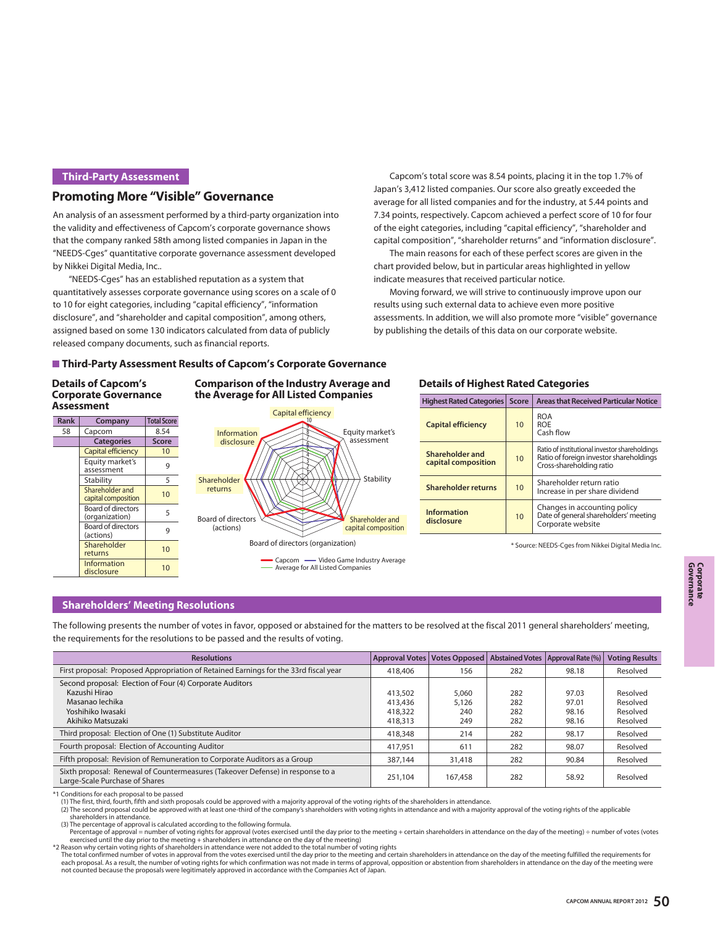# **Third-Party Assessment**

# **Promoting More "Visible" Governance**

An analysis of an assessment performed by a third-party organization into the validity and effectiveness of Capcom's corporate governance shows that the company ranked 58th among listed companies in Japan in the "NEEDS-Cges" quantitative corporate governance assessment developed by Nikkei Digital Media, Inc..

 "NEEDS-Cges" has an established reputation as a system that quantitatively assesses corporate governance using scores on a scale of 0 to 10 for eight categories, including "capital efficiency", "information disclosure", and "shareholder and capital composition", among others, assigned based on some 130 indicators calculated from data of publicly released company documents, such as financial reports.

 Capcom's total score was 8.54 points, placing it in the top 1.7% of Japan's 3,412 listed companies. Our score also greatly exceeded the average for all listed companies and for the industry, at 5.44 points and 7.34 points, respectively. Capcom achieved a perfect score of 10 for four of the eight categories, including "capital efficiency", "shareholder and capital composition", "shareholder returns" and "information disclosure".

 The main reasons for each of these perfect scores are given in the chart provided below, but in particular areas highlighted in yellow indicate measures that received particular notice.

 Moving forward, we will strive to continuously improve upon our results using such external data to achieve even more positive assessments. In addition, we will also promote more "visible" governance by publishing the details of this data on our corporate website.

#### **Third-Party Assessment Results of Capcom's Corporate Governance**

#### **Details of Capcom's Corporate Governance Assessment**

| <b>Rank</b> | Company                                     | <b>Total Score</b> |
|-------------|---------------------------------------------|--------------------|
| 58          | Capcom                                      | 8.54               |
|             | <b>Categories</b>                           | <b>Score</b>       |
|             | Capital efficiency                          | 10                 |
|             | Equity market's<br>assessment               | 9                  |
|             | Stability                                   | 5                  |
|             | Shareholder and<br>capital composition      | 10                 |
|             | <b>Board of directors</b><br>(organization) | 5                  |
|             | <b>Board of directors</b><br>(actions)      | 9                  |
|             | Shareholder<br>returns                      | 10                 |
|             | Information<br>disclosure                   | 10                 |



# **Comparison of the Industry Average and Details of Highest Rated Categories**

| <b>Highest Rated Categories</b>        | <b>Score</b> | <b>Areas that Received Particular Notice</b>                                                                         |
|----------------------------------------|--------------|----------------------------------------------------------------------------------------------------------------------|
| <b>Capital efficiency</b>              | 10           | <b>ROA</b><br><b>ROF</b><br>Cash flow                                                                                |
| Shareholder and<br>capital composition | 10           | Ratio of institutional investor shareholdings<br>Ratio of foreign investor shareholdings<br>Cross-shareholding ratio |
| Shareholder returns                    | 10           | Shareholder return ratio<br>Increase in per share dividend                                                           |
| <b>Information</b><br>disclosure       | 10           | Changes in accounting policy<br>Date of general shareholders' meeting<br>Corporate website                           |

\* Source: NEEDS-Cges from Nikkei Digital Media Inc.

#### **Shareholders' Meeting Resolutions**

The following presents the number of votes in favor, opposed or abstained for the matters to be resolved at the fiscal 2011 general shareholders' meeting, the requirements for the resolutions to be passed and the results of voting.

| <b>Resolutions</b>                                                                                               | Approval Votes   Votes Opposed |         |     | Abstained Votes   Approval Rate (%) | <b>Voting Results</b> |
|------------------------------------------------------------------------------------------------------------------|--------------------------------|---------|-----|-------------------------------------|-----------------------|
| First proposal: Proposed Appropriation of Retained Earnings for the 33rd fiscal year                             | 418,406                        | 156     | 282 | 98.18                               | Resolved              |
| Second proposal: Election of Four (4) Corporate Auditors                                                         |                                |         |     |                                     |                       |
| Kazushi Hirao                                                                                                    | 413,502                        | 5.060   | 282 | 97.03                               | Resolved              |
| Masanao lechika                                                                                                  | 413,436                        | 5.126   | 282 | 97.01                               | Resolved              |
| Yoshihiko Iwasaki                                                                                                | 418,322                        | 240     | 282 | 98.16                               | Resolved              |
| Akihiko Matsuzaki                                                                                                | 418,313                        | 249     | 282 | 98.16                               | Resolved              |
| Third proposal: Election of One (1) Substitute Auditor                                                           | 418,348                        | 214     | 282 | 98.17                               | Resolved              |
| Fourth proposal: Election of Accounting Auditor                                                                  | 417.951                        | 611     | 282 | 98.07                               | Resolved              |
| Fifth proposal: Revision of Remuneration to Corporate Auditors as a Group                                        | 387,144                        | 31,418  | 282 | 90.84                               | Resolved              |
| Sixth proposal: Renewal of Countermeasures (Takeover Defense) in response to a<br>Large-Scale Purchase of Shares | 251.104                        | 167,458 | 282 | 58.92                               | Resolved              |

\*1 Conditions for each proposal to be passed

(1) The first, third, fourth, fifth and sixth proposals could be approved with a majority approval of the voting rights of the shareholders in attendance.<br>(2) The second proposal could be approved with at least one-third o shareholders in attendance.

(3) The percentage of approval is calculated according to the following formula.

Percentage of approval = number of voting rights for approval (votes exercised until the day prior to the meeting + certain shareholders in attendance on the day of the meeting) ÷ number of votes (votes<br>exercised until th

\*2 Reason why certain voting rights of shareholders in attendance were not added to the total number of voting rights The total confirmed number of votes in approval from the votes exercised until the day prior to the meeting and certain shareholders in attendance on the day of the meeting fulfilled the requirements for

each proposal. As a result, the number of voting rights for which confirmation was not made in terms of approval, opposition or abstention from shareholders in attendance on the day of the meeting were not counted because the proposals were legitimately approved in accordance with the Companies Act of Japan.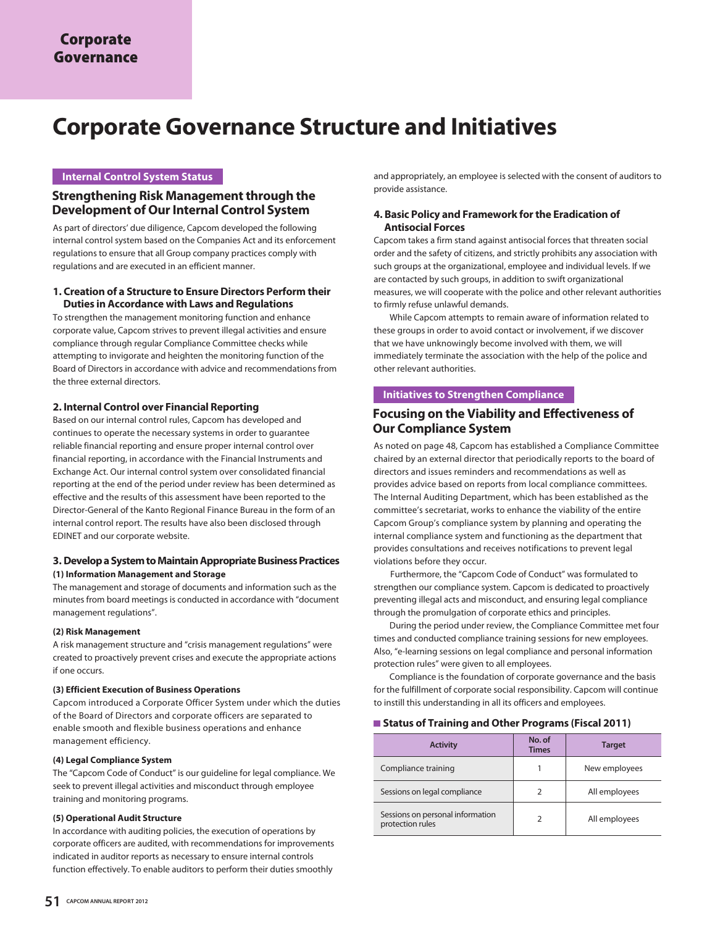# **Corporate Governance Structure and Initiatives**

# **Internal Control System Status**

# **Strengthening Risk Management through the Development of Our Internal Control System**

As part of directors' due diligence, Capcom developed the following internal control system based on the Companies Act and its enforcement regulations to ensure that all Group company practices comply with regulations and are executed in an efficient manner.

#### **1. Creation of a Structure to Ensure Directors Perform their Duties in Accordance with Laws and Regulations**

To strengthen the management monitoring function and enhance corporate value, Capcom strives to prevent illegal activities and ensure compliance through regular Compliance Committee checks while attempting to invigorate and heighten the monitoring function of the Board of Directors in accordance with advice and recommendations from the three external directors.

#### **2. Internal Control over Financial Reporting**

Based on our internal control rules, Capcom has developed and continues to operate the necessary systems in order to guarantee reliable financial reporting and ensure proper internal control over financial reporting, in accordance with the Financial Instruments and Exchange Act. Our internal control system over consolidated financial reporting at the end of the period under review has been determined as effective and the results of this assessment have been reported to the Director-General of the Kanto Regional Finance Bureau in the form of an internal control report. The results have also been disclosed through EDINET and our corporate website.

#### **3. Develop a System to Maintain Appropriate Business Practices (1) Information Management and Storage**

The management and storage of documents and information such as the minutes from board meetings is conducted in accordance with "document management regulations".

#### **(2) Risk Management**

A risk management structure and "crisis management regulations" were created to proactively prevent crises and execute the appropriate actions if one occurs.

#### **(3) Efficient Execution of Business Operations**

Capcom introduced a Corporate Officer System under which the duties of the Board of Directors and corporate officers are separated to enable smooth and flexible business operations and enhance management efficiency.

#### **(4) Legal Compliance System**

The "Capcom Code of Conduct" is our guideline for legal compliance. We seek to prevent illegal activities and misconduct through employee training and monitoring programs.

#### **(5) Operational Audit Structure**

In accordance with auditing policies, the execution of operations by corporate officers are audited, with recommendations for improvements indicated in auditor reports as necessary to ensure internal controls function effectively. To enable auditors to perform their duties smoothly

and appropriately, an employee is selected with the consent of auditors to provide assistance.

#### **4. Basic Policy and Framework for the Eradication of Antisocial Forces**

Capcom takes a firm stand against antisocial forces that threaten social order and the safety of citizens, and strictly prohibits any association with such groups at the organizational, employee and individual levels. If we are contacted by such groups, in addition to swift organizational measures, we will cooperate with the police and other relevant authorities to firmly refuse unlawful demands.

 While Capcom attempts to remain aware of information related to these groups in order to avoid contact or involvement, if we discover that we have unknowingly become involved with them, we will immediately terminate the association with the help of the police and other relevant authorities.

#### **Initiatives to Strengthen Compliance**

# **Focusing on the Viability and Effectiveness of Our Compliance System**

As noted on page 48, Capcom has established a Compliance Committee chaired by an external director that periodically reports to the board of directors and issues reminders and recommendations as well as provides advice based on reports from local compliance committees. The Internal Auditing Department, which has been established as the committee's secretariat, works to enhance the viability of the entire Capcom Group's compliance system by planning and operating the internal compliance system and functioning as the department that provides consultations and receives notifications to prevent legal violations before they occur.

 Furthermore, the "Capcom Code of Conduct" was formulated to strengthen our compliance system. Capcom is dedicated to proactively preventing illegal acts and misconduct, and ensuring legal compliance through the promulgation of corporate ethics and principles.

 During the period under review, the Compliance Committee met four times and conducted compliance training sessions for new employees. Also, "e-learning sessions on legal compliance and personal information protection rules" were given to all employees.

 Compliance is the foundation of corporate governance and the basis for the fulfillment of corporate social responsibility. Capcom will continue to instill this understanding in all its officers and employees.

#### ■ Status of Training and Other Programs (Fiscal 2011)

| <b>Activity</b>                                      | No. of<br><b>Times</b> | <b>Target</b> |
|------------------------------------------------------|------------------------|---------------|
| Compliance training                                  |                        | New employees |
| Sessions on legal compliance                         |                        | All employees |
| Sessions on personal information<br>protection rules | ς                      | All employees |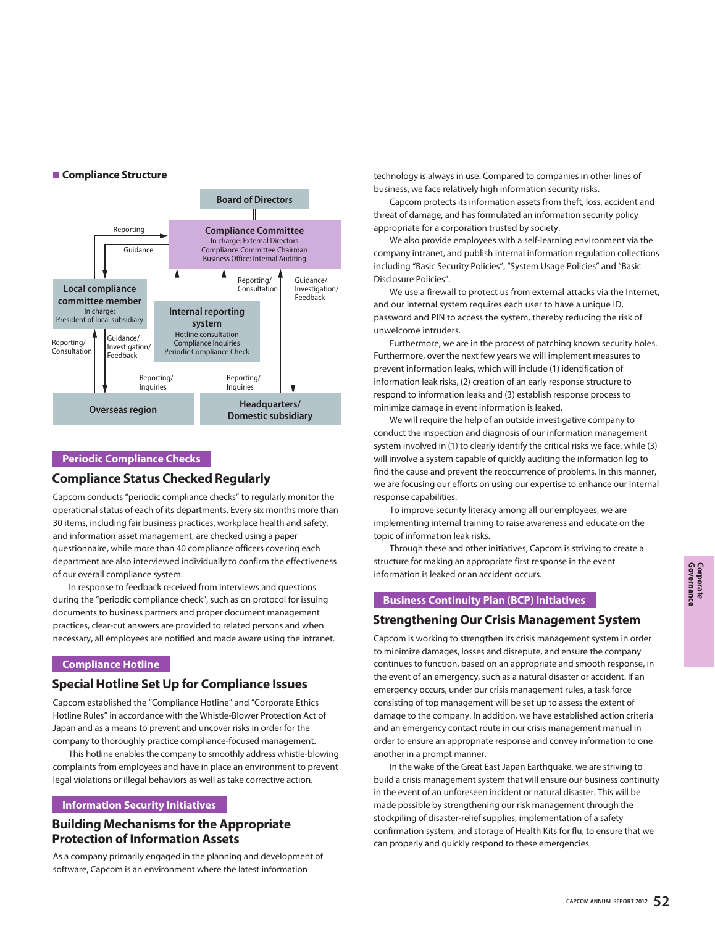



#### **Periodic Compliance Checks**

# **Compliance Status Checked Regularly**

Capcom conducts "periodic compliance checks" to regularly monitor the operational status of each of its departments. Every six months more than 30 items, including fair business practices, workplace health and safety, and information asset management, are checked using a paper questionnaire, while more than 40 compliance officers covering each department are also interviewed individually to confirm the effectiveness of our overall compliance system.

 In response to feedback received from interviews and questions during the "periodic compliance check", such as on protocol for issuing documents to business partners and proper document management practices, clear-cut answers are provided to related persons and when necessary, all employees are notified and made aware using the intranet.

#### **Compliance Hotline**

# **Special Hotline Set Up for Compliance Issues**

Capcom established the "Compliance Hotline" and "Corporate Ethics Hotline Rules" in accordance with the Whistle-Blower Protection Act of Japan and as a means to prevent and uncover risks in order for the company to thoroughly practice compliance-focused management.

 This hotline enables the company to smoothly address whistle-blowing complaints from employees and have in place an environment to prevent legal violations or illegal behaviors as well as take corrective action.

#### **Information Security Initiatives**

# **Building Mechanisms for the Appropriate Protection of Information Assets**

As a company primarily engaged in the planning and development of software, Capcom is an environment where the latest information

technology is always in use. Compared to companies in other lines of business, we face relatively high information security risks.

 Capcom protects its information assets from theft, loss, accident and threat of damage, and has formulated an information security policy appropriate for a corporation trusted by society.

 We also provide employees with a self-learning environment via the company intranet, and publish internal information regulation collections including "Basic Security Policies", "System Usage Policies" and "Basic Disclosure Policies".

We use a firewall to protect us from external attacks via the Internet, and our internal system requires each user to have a unique ID, password and PIN to access the system, thereby reducing the risk of unwelcome intruders.

 Furthermore, we are in the process of patching known security holes. Furthermore, over the next few years we will implement measures to prevent information leaks, which will include (1) identification of information leak risks, (2) creation of an early response structure to respond to information leaks and (3) establish response process to minimize damage in event information is leaked.

 We will require the help of an outside investigative company to conduct the inspection and diagnosis of our information management system involved in (1) to clearly identify the critical risks we face, while (3) will involve a system capable of quickly auditing the information log to find the cause and prevent the reoccurrence of problems. In this manner, we are focusing our efforts on using our expertise to enhance our internal response capabilities.

 To improve security literacy among all our employees, we are implementing internal training to raise awareness and educate on the topic of information leak risks.

 Through these and other initiatives, Capcom is striving to create a structure for making an appropriate first response in the event information is leaked or an accident occurs.

# **Business Continuity Plan (BCP) Initiatives**

# **Strengthening Our Crisis Management System**

Capcom is working to strengthen its crisis management system in order to minimize damages, losses and disrepute, and ensure the company continues to function, based on an appropriate and smooth response, in the event of an emergency, such as a natural disaster or accident. If an emergency occurs, under our crisis management rules, a task force consisting of top management will be set up to assess the extent of damage to the company. In addition, we have established action criteria and an emergency contact route in our crisis management manual in order to ensure an appropriate response and convey information to one another in a prompt manner.

 In the wake of the Great East Japan Earthquake, we are striving to build a crisis management system that will ensure our business continuity in the event of an unforeseen incident or natural disaster. This will be made possible by strengthening our risk management through the stockpiling of disaster-relief supplies, implementation of a safety confirmation system, and storage of Health Kits for flu, to ensure that we can properly and quickly respond to these emergencies.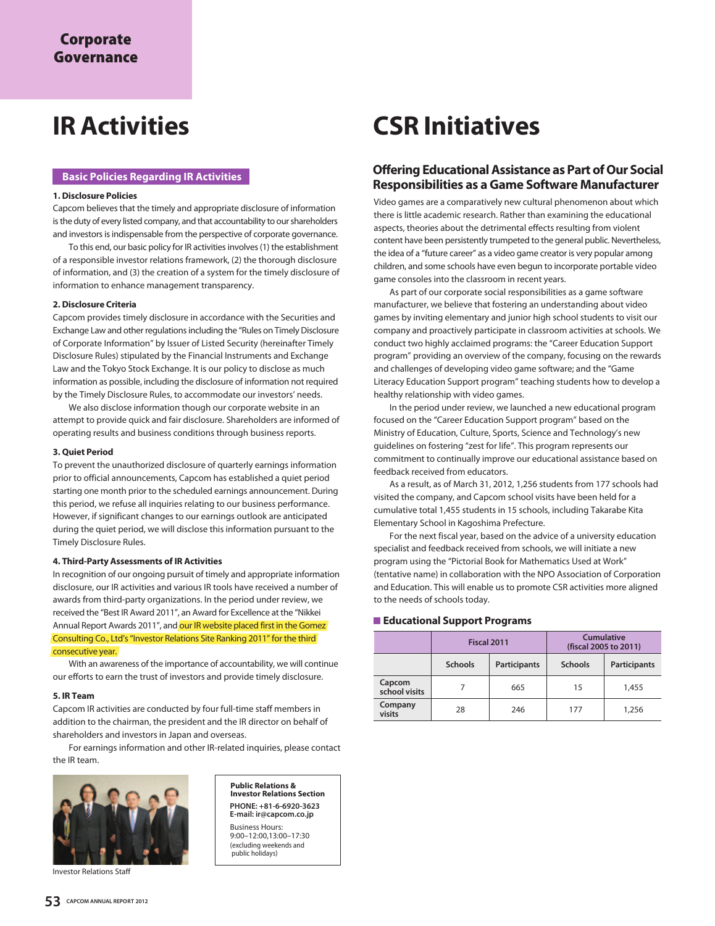#### **Basic Policies Regarding IR Activities**

#### **1. Disclosure Policies**

Capcom believes that the timely and appropriate disclosure of information is the duty of every listed company, and that accountability to our shareholders and investors is indispensable from the perspective of corporate governance.

 To this end, our basic policy for IR activities involves (1) the establishment of a responsible investor relations framework, (2) the thorough disclosure of information, and (3) the creation of a system for the timely disclosure of information to enhance management transparency.

#### **2. Disclosure Criteria**

Capcom provides timely disclosure in accordance with the Securities and Exchange Law and other regulations including the "Rules on Timely Disclosure of Corporate Information" by Issuer of Listed Security (hereinafter Timely Disclosure Rules) stipulated by the Financial Instruments and Exchange Law and the Tokyo Stock Exchange. It is our policy to disclose as much information as possible, including the disclosure of information not required by the Timely Disclosure Rules, to accommodate our investors' needs.

 We also disclose information though our corporate website in an attempt to provide quick and fair disclosure. Shareholders are informed of operating results and business conditions through business reports.

#### **3. Quiet Period**

To prevent the unauthorized disclosure of quarterly earnings information prior to official announcements, Capcom has established a quiet period starting one month prior to the scheduled earnings announcement. During this period, we refuse all inquiries relating to our business performance. However, if significant changes to our earnings outlook are anticipated during the quiet period, we will disclose this information pursuant to the Timely Disclosure Rules.

#### **4. Third-Party Assessments of IR Activities**

In recognition of our ongoing pursuit of timely and appropriate information disclosure, our IR activities and various IR tools have received a number of awards from third-party organizations. In the period under review, we received the "Best IR Award 2011", an Award for Excellence at the "Nikkei Annual Report Awards 2011", and our IR website placed first in the Gomez Consulting Co., Ltd's "Investor Relations Site Ranking 2011" for the third consecutive year.

 With an awareness of the importance of accountability, we will continue our efforts to earn the trust of investors and provide timely disclosure.

#### **5. IR Team**

Capcom IR activities are conducted by four full-time staff members in addition to the chairman, the president and the IR director on behalf of shareholders and investors in Japan and overseas.

 For earnings information and other IR-related inquiries, please contact the IR team.



Investor Relations Staff

**Public Relations & Investor Relations Section PHONE: +81-6-6920-3623 E-mail: ir@capcom.co.jp**

Business Hours: 9:00–12:00,13:00–17:30 (excluding weekends and public holidays)

# **IR Activities CSR Initiatives**

# **Offering Educational Assistance as Part of Our Social Responsibilities as a Game Software Manufacturer**

Video games are a comparatively new cultural phenomenon about which there is little academic research. Rather than examining the educational aspects, theories about the detrimental effects resulting from violent content have been persistently trumpeted to the general public. Nevertheless, the idea of a "future career" as a video game creator is very popular among children, and some schools have even begun to incorporate portable video game consoles into the classroom in recent years.

 As part of our corporate social responsibilities as a game software manufacturer, we believe that fostering an understanding about video games by inviting elementary and junior high school students to visit our company and proactively participate in classroom activities at schools. We conduct two highly acclaimed programs: the "Career Education Support program" providing an overview of the company, focusing on the rewards and challenges of developing video game software; and the "Game Literacy Education Support program" teaching students how to develop a healthy relationship with video games.

 In the period under review, we launched a new educational program focused on the "Career Education Support program" based on the Ministry of Education, Culture, Sports, Science and Technology's new guidelines on fostering "zest for life". This program represents our commitment to continually improve our educational assistance based on feedback received from educators.

 As a result, as of March 31, 2012, 1,256 students from 177 schools had visited the company, and Capcom school visits have been held for a cumulative total 1,455 students in 15 schools, including Takarabe Kita Elementary School in Kagoshima Prefecture.

 For the next fiscal year, based on the advice of a university education specialist and feedback received from schools, we will initiate a new program using the "Pictorial Book for Mathematics Used at Work" (tentative name) in collaboration with the NPO Association of Corporation and Education. This will enable us to promote CSR activities more aligned to the needs of schools today.

#### **Educational Support Programs**

|                         | Fiscal 2011                           |     | Cumulative<br>(fiscal 2005 to 2011) |                     |  |
|-------------------------|---------------------------------------|-----|-------------------------------------|---------------------|--|
|                         | <b>Participants</b><br><b>Schools</b> |     | <b>Schools</b>                      | <b>Participants</b> |  |
| Capcom<br>school visits |                                       | 665 | 15                                  | 1,455               |  |
| Company<br>visits       | 28<br>246                             |     | 177                                 | 1,256               |  |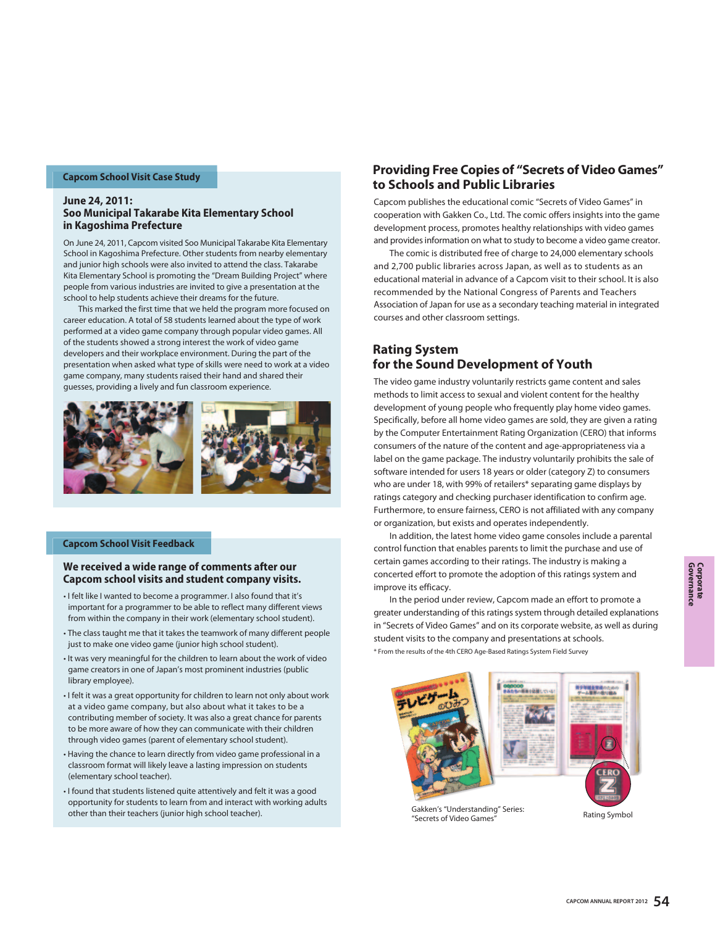#### **Capcom School Visit Case Study**

#### **June 24, 2011: Soo Municipal Takarabe Kita Elementary School in Kagoshima Prefecture**

On June 24, 2011, Capcom visited Soo Municipal Takarabe Kita Elementary School in Kagoshima Prefecture. Other students from nearby elementary and junior high schools were also invited to attend the class. Takarabe Kita Elementary School is promoting the "Dream Building Project" where people from various industries are invited to give a presentation at the school to help students achieve their dreams for the future.

 This marked the first time that we held the program more focused on career education. A total of 58 students learned about the type of work performed at a video game company through popular video games. All of the students showed a strong interest the work of video game developers and their workplace environment. During the part of the presentation when asked what type of skills were need to work at a video game company, many students raised their hand and shared their guesses, providing a lively and fun classroom experience.



#### **Capcom School Visit Feedback**

#### **We received a wide range of comments after our Capcom school visits and student company visits.**

- I felt like I wanted to become a programmer. I also found that it's important for a programmer to be able to reflect many different views from within the company in their work (elementary school student).
- The class taught me that it takes the teamwork of many different people just to make one video game (junior high school student).
- It was very meaningful for the children to learn about the work of video game creators in one of Japan's most prominent industries (public library employee).
- I felt it was a great opportunity for children to learn not only about work at a video game company, but also about what it takes to be a contributing member of society. It was also a great chance for parents to be more aware of how they can communicate with their children through video games (parent of elementary school student).
- Having the chance to learn directly from video game professional in a classroom format will likely leave a lasting impression on students (elementary school teacher).
- I found that students listened quite attentively and felt it was a good opportunity for students to learn from and interact with working adults other than their teachers (junior high school teacher).

# **Providing Free Copies of "Secrets of Video Games" to Schools and Public Libraries**

Capcom publishes the educational comic "Secrets of Video Games" in cooperation with Gakken Co., Ltd. The comic offers insights into the game development process, promotes healthy relationships with video games and provides information on what to study to become a video game creator.

 The comic is distributed free of charge to 24,000 elementary schools and 2,700 public libraries across Japan, as well as to students as an educational material in advance of a Capcom visit to their school. It is also recommended by the National Congress of Parents and Teachers Association of Japan for use as a secondary teaching material in integrated courses and other classroom settings.

# **Rating System for the Sound Development of Youth**

The video game industry voluntarily restricts game content and sales methods to limit access to sexual and violent content for the healthy development of young people who frequently play home video games. Specifically, before all home video games are sold, they are given a rating by the Computer Entertainment Rating Organization (CERO) that informs consumers of the nature of the content and age-appropriateness via a label on the game package. The industry voluntarily prohibits the sale of software intended for users 18 years or older (category Z) to consumers who are under 18, with 99% of retailers\* separating game displays by ratings category and checking purchaser identification to confirm age. Furthermore, to ensure fairness, CERO is not affiliated with any company or organization, but exists and operates independently.

 In addition, the latest home video game consoles include a parental control function that enables parents to limit the purchase and use of certain games according to their ratings. The industry is making a concerted effort to promote the adoption of this ratings system and improve its efficacy.

\* From the results of the 4th CERO Age-Based Ratings System Field Survey In the period under review, Capcom made an effort to promote a greater understanding of this ratings system through detailed explanations in "Secrets of Video Games" and on its corporate website, as well as during student visits to the company and presentations at schools.



Gakken's "Understanding" Series: Gakkert's Understanding Series.<br>"Secrets of Video Games" Rating Symbol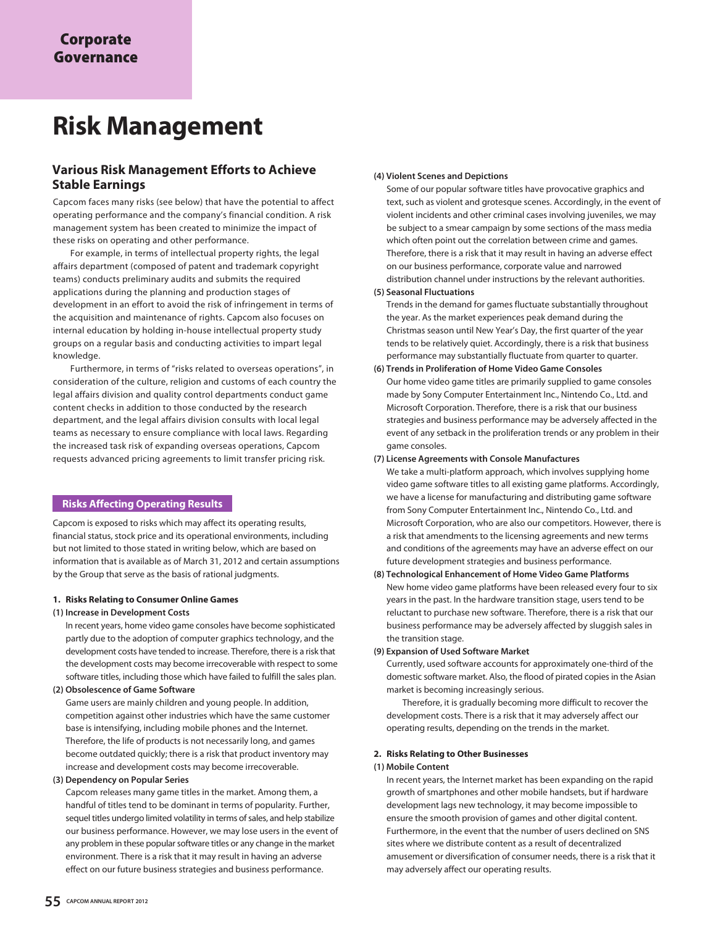# **Risk Management**

# **Various Risk Management Efforts to Achieve Stable Earnings**

Capcom faces many risks (see below) that have the potential to affect operating performance and the company's financial condition. A risk management system has been created to minimize the impact of these risks on operating and other performance.

 For example, in terms of intellectual property rights, the legal affairs department (composed of patent and trademark copyright teams) conducts preliminary audits and submits the required applications during the planning and production stages of development in an effort to avoid the risk of infringement in terms of the acquisition and maintenance of rights. Capcom also focuses on internal education by holding in-house intellectual property study groups on a regular basis and conducting activities to impart legal knowledge.

 Furthermore, in terms of "risks related to overseas operations", in consideration of the culture, religion and customs of each country the legal affairs division and quality control departments conduct game content checks in addition to those conducted by the research department, and the legal affairs division consults with local legal teams as necessary to ensure compliance with local laws. Regarding the increased task risk of expanding overseas operations, Capcom requests advanced pricing agreements to limit transfer pricing risk.

#### **Risks Affecting Operating Results**

Capcom is exposed to risks which may affect its operating results, financial status, stock price and its operational environments, including but not limited to those stated in writing below, which are based on information that is available as of March 31, 2012 and certain assumptions by the Group that serve as the basis of rational judgments.

#### **1. Risks Relating to Consumer Online Games**

#### **(1) Increase in Development Costs**

In recent years, home video game consoles have become sophisticated partly due to the adoption of computer graphics technology, and the development costs have tended to increase. Therefore, there is a risk that the development costs may become irrecoverable with respect to some software titles, including those which have failed to fulfill the sales plan.

#### **(2) Obsolescence of Game Software**

Game users are mainly children and young people. In addition, competition against other industries which have the same customer base is intensifying, including mobile phones and the Internet. Therefore, the life of products is not necessarily long, and games become outdated quickly; there is a risk that product inventory may increase and development costs may become irrecoverable.

#### **(3) Dependency on Popular Series**

Capcom releases many game titles in the market. Among them, a handful of titles tend to be dominant in terms of popularity. Further, sequel titles undergo limited volatility in terms of sales, and help stabilize our business performance. However, we may lose users in the event of any problem in these popular software titles or any change in the market environment. There is a risk that it may result in having an adverse effect on our future business strategies and business performance.

#### **(4) Violent Scenes and Depictions**

Some of our popular software titles have provocative graphics and text, such as violent and grotesque scenes. Accordingly, in the event of violent incidents and other criminal cases involving juveniles, we may be subject to a smear campaign by some sections of the mass media which often point out the correlation between crime and games. Therefore, there is a risk that it may result in having an adverse effect on our business performance, corporate value and narrowed distribution channel under instructions by the relevant authorities.

#### **(5) Seasonal Fluctuations**

Trends in the demand for games fluctuate substantially throughout the year. As the market experiences peak demand during the Christmas season until New Year's Day, the first quarter of the year tends to be relatively quiet. Accordingly, there is a risk that business performance may substantially fluctuate from quarter to quarter.

#### **(6) Trends in Proliferation of Home Video Game Consoles**

Our home video game titles are primarily supplied to game consoles made by Sony Computer Entertainment Inc., Nintendo Co., Ltd. and Microsoft Corporation. Therefore, there is a risk that our business strategies and business performance may be adversely affected in the event of any setback in the proliferation trends or any problem in their game consoles.

#### **(7) License Agreements with Console Manufactures**

We take a multi-platform approach, which involves supplying home video game software titles to all existing game platforms. Accordingly, we have a license for manufacturing and distributing game software from Sony Computer Entertainment Inc., Nintendo Co., Ltd. and Microsoft Corporation, who are also our competitors. However, there is a risk that amendments to the licensing agreements and new terms and conditions of the agreements may have an adverse effect on our future development strategies and business performance.

#### **(8) Technological Enhancement of Home Video Game Platforms** New home video game platforms have been released every four to six years in the past. In the hardware transition stage, users tend to be reluctant to purchase new software. Therefore, there is a risk that our business performance may be adversely affected by sluggish sales in the transition stage.

#### **(9) Expansion of Used Software Market**

Currently, used software accounts for approximately one-third of the domestic software market. Also, the flood of pirated copies in the Asian market is becoming increasingly serious.

 Therefore, it is gradually becoming more difficult to recover the development costs. There is a risk that it may adversely affect our operating results, depending on the trends in the market.

#### **2. Risks Relating to Other Businesses**

#### **(1) Mobile Content**

In recent years, the Internet market has been expanding on the rapid growth of smartphones and other mobile handsets, but if hardware development lags new technology, it may become impossible to ensure the smooth provision of games and other digital content. Furthermore, in the event that the number of users declined on SNS sites where we distribute content as a result of decentralized amusement or diversification of consumer needs, there is a risk that it may adversely affect our operating results.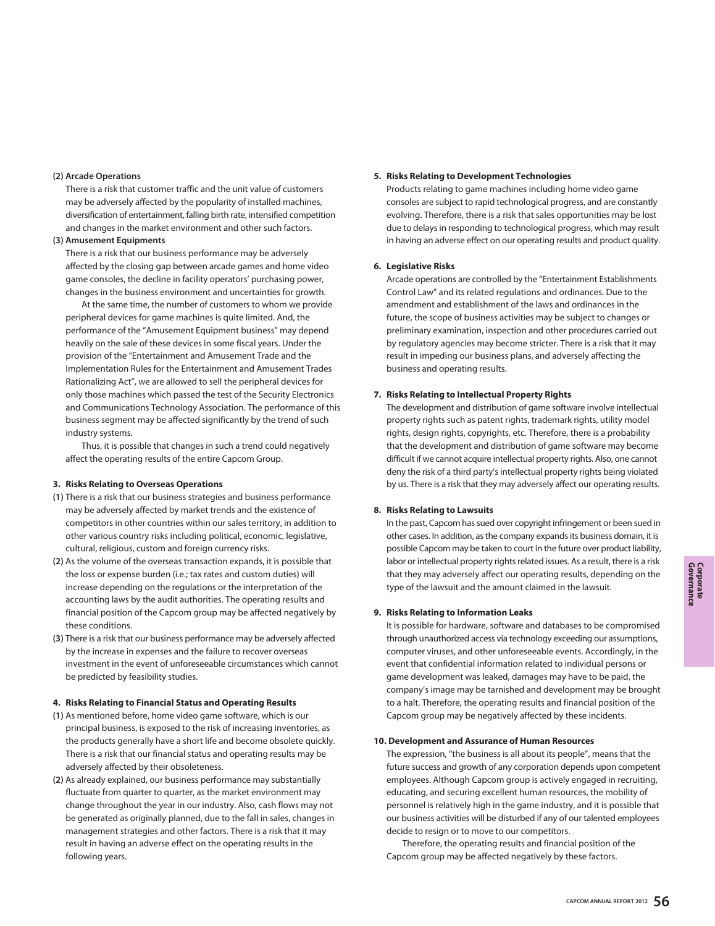#### **(2) Arcade Operations**

There is a risk that customer traffic and the unit value of customers may be adversely affected by the popularity of installed machines, diversification of entertainment, falling birth rate, intensified competition and changes in the market environment and other such factors.

#### **(3) Amusement Equipments**

There is a risk that our business performance may be adversely affected by the closing gap between arcade games and home video game consoles, the decline in facility operators' purchasing power, changes in the business environment and uncertainties for growth.

 At the same time, the number of customers to whom we provide peripheral devices for game machines is quite limited. And, the performance of the "Amusement Equipment business" may depend heavily on the sale of these devices in some fiscal years. Under the provision of the "Entertainment and Amusement Trade and the Implementation Rules for the Entertainment and Amusement Trades Rationalizing Act", we are allowed to sell the peripheral devices for only those machines which passed the test of the Security Electronics and Communications Technology Association. The performance of this business segment may be affected significantly by the trend of such industry systems.

 Thus, it is possible that changes in such a trend could negatively affect the operating results of the entire Capcom Group.

#### **3. Risks Relating to Overseas Operations**

- **(1)** There is a risk that our business strategies and business performance may be adversely affected by market trends and the existence of competitors in other countries within our sales territory, in addition to other various country risks including political, economic, legislative, cultural, religious, custom and foreign currency risks.
- **(2)** As the volume of the overseas transaction expands, it is possible that the loss or expense burden (i.e.; tax rates and custom duties) will increase depending on the regulations or the interpretation of the accounting laws by the audit authorities. The operating results and financial position of the Capcom group may be affected negatively by these conditions.
- **(3)** There is a risk that our business performance may be adversely affected by the increase in expenses and the failure to recover overseas investment in the event of unforeseeable circumstances which cannot be predicted by feasibility studies.

#### **4. Risks Relating to Financial Status and Operating Results**

- **(1)** As mentioned before, home video game software, which is our principal business, is exposed to the risk of increasing inventories, as the products generally have a short life and become obsolete quickly. There is a risk that our financial status and operating results may be adversely affected by their obsoleteness.
- **(2)** As already explained, our business performance may substantially fluctuate from quarter to quarter, as the market environment may change throughout the year in our industry. Also, cash flows may not be generated as originally planned, due to the fall in sales, changes in management strategies and other factors. There is a risk that it may result in having an adverse effect on the operating results in the following years.

#### **5. Risks Relating to Development Technologies**

Products relating to game machines including home video game consoles are subject to rapid technological progress, and are constantly evolving. Therefore, there is a risk that sales opportunities may be lost due to delays in responding to technological progress, which may result in having an adverse effect on our operating results and product quality.

#### **6. Legislative Risks**

Arcade operations are controlled by the "Entertainment Establishments Control Law" and its related regulations and ordinances. Due to the amendment and establishment of the laws and ordinances in the future, the scope of business activities may be subject to changes or preliminary examination, inspection and other procedures carried out by regulatory agencies may become stricter. There is a risk that it may result in impeding our business plans, and adversely affecting the business and operating results.

#### **7. Risks Relating to Intellectual Property Rights**

The development and distribution of game software involve intellectual property rights such as patent rights, trademark rights, utility model rights, design rights, copyrights, etc. Therefore, there is a probability that the development and distribution of game software may become difficult if we cannot acquire intellectual property rights. Also, one cannot deny the risk of a third party's intellectual property rights being violated by us. There is a risk that they may adversely affect our operating results.

#### **8. Risks Relating to Lawsuits**

In the past, Capcom has sued over copyright infringement or been sued in other cases. In addition, as the company expands its business domain, it is possible Capcom may be taken to court in the future over product liability, labor or intellectual property rights related issues. As a result, there is a risk that they may adversely affect our operating results, depending on the type of the lawsuit and the amount claimed in the lawsuit.

#### **9. Risks Relating to Information Leaks**

It is possible for hardware, software and databases to be compromised through unauthorized access via technology exceeding our assumptions, computer viruses, and other unforeseeable events. Accordingly, in the event that confidential information related to individual persons or game development was leaked, damages may have to be paid, the company's image may be tarnished and development may be brought to a halt. Therefore, the operating results and financial position of the Capcom group may be negatively affected by these incidents.

#### **10. Development and Assurance of Human Resources**

The expression, "the business is all about its people", means that the future success and growth of any corporation depends upon competent employees. Although Capcom group is actively engaged in recruiting, educating, and securing excellent human resources, the mobility of personnel is relatively high in the game industry, and it is possible that our business activities will be disturbed if any of our talented employees decide to resign or to move to our competitors.

 Therefore, the operating results and financial position of the Capcom group may be affected negatively by these factors.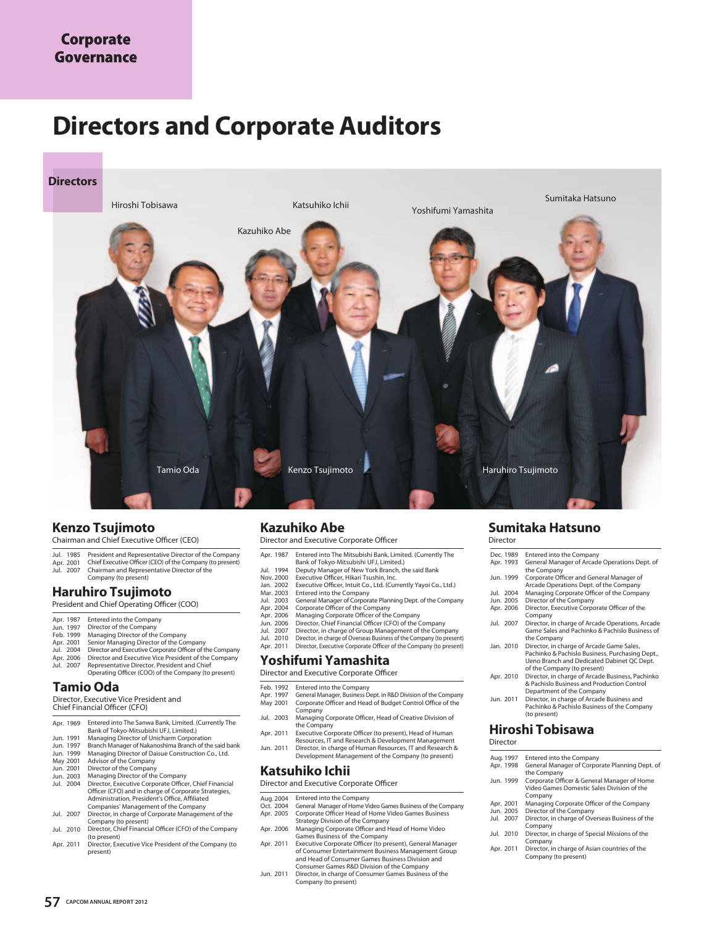# **Directors and Corporate Auditors**



# **Kenzo Tsujimoto**

Chairman and Chief Executive Officer (CEO)

- 
- Jul. 1985 President and Representative Director of the Company<br>Apr. 2001 Chief Executive Officer (CEO) of the Company (to present)
- Chairman and Representative Director of the Company (to present) Jul. 2007

# **Haruhiro Tsujimoto**

President and Chief Operating Officer (COO)

- Apr. 1987 Entered into the Company<br>Jun. 1997 Director of the Company
- 
- Managing Director of the Company Senior Managing Director of the Company Feb. 1999 Apr. 2001
- Jul. 2004
- Director and Executive Corporate Officer of the Company Director and Executive Vice President of the Company Representative Director, President and Chief Apr. 2006
- Operating Officer (COO) of the Company (to present) Jul. 2007

# **Tamio Oda**

Director, Executive Vice President and Chief Financial Officer (CFO)

| Apr. 1969 | Entered into The Sanwa Bank, Limited. (Currently The |
|-----------|------------------------------------------------------|
|           | Bank of Tokyo-Mitsubishi UFJ, Limited.)              |
| Jun. 1991 | Managing Director of Unicharm Corporation            |

- Jun. 1991
- Branch Manager of Nakanoshima Branch of the said bank Managing Director of Daisue Construction Co., Ltd. Jun. Jun. 1997 1999
- Advisor of the Company May 2001
- Director of the Company Managing Director of the Company Jun. 2001
- Director, Executive Corporate Officer, Chief Financial Officer (CFO) and in charge of Corporate Strategies, Administration, President's Office, Affiliated Companies' Management of the Company Jun. 2003 Jul. 2004
- Director, in charge of Corporate Management of the Company (to present) Jul. 2007
- Jul. 2010 Director, Chief Financial Officer (CFO) of the Company (to present) Director, Executive Vice President of the Company (to Apr. 2011
- present)

# **Kazuhiko Abe**

Director and Executive Corporate Officer

- Entered into The Mitsubishi Bank, Limited. (Currently The Apr. 1987
- Bank of Tokyo-Mitsubishi UFJ, Limited.)
- Deputy Manager of New York Branch, the said Bank Executive Officer, Hikari Tsushin, Inc. Jul. Nov. 1994 2000
- Executive Officer, Intuit Co., Ltd. (Currently Yayoi Co., Ltd.) Jan. 2002
- Entered into the Company Mar. 2003
- Jul. 2003 Apr. 2004
- 
- Apr. Jun. 2006 2006
- Jul. 2007
- General Manager of Corporate Planning Dept. of the Company<br>Corporate Officer of the Company<br>Managing Corporate Officer of the Company<br>Director, Chief Financial Officer (CFO) of the Company<br>Director, in charge of Group Mana Jul. Apr. 2010 2011

# **Yoshifumi Yamashita**

Director and Executive Corporate Officer

- Feb. 1992
- Entered into the Company General Manager, Business Dept. in R&D Division of the Company Corporate Officer and Head of Budget Control Office of the Company Apr. May 1997 2001
- Managing Corporate Officer, Head of Creative Division of the Company Jul. 2003
- Executive Corporate Officer (to present), Head of Human Resources, IT and Research & Development Management Director, in charge of Human Resources, IT and Research & Development Management of the Company (to present) Apr. 2011
- Jun. 2011

#### **Katsuhiko Ichii**

Director and Executive Corporate Officer

- 
- Entered into the Company General Manager of Home Video Games Business of the Company Corporate Officer Head of Home Video Games Business Aug. Oct. 2004 2004 Apr. 2005
- Strategy Division of the Company Managing Corporate Officer and Head of Home Video Apr. 2006
- Games Business of the Company Executive Corporate Officer (to present), General Manager of Consumer Entertainment Business Management Group and Head of Consumer Games Business Division and Apr. 2011
- Consumer Games R&D Division of the Company Director, in charge of Consumer Games Business of the Jun. 2011 Company (to present)

#### **Sumitaka Hatsuno Director**

| Dec. 1989 | <b>Entered into the Company</b>                                                                                                                                           |
|-----------|---------------------------------------------------------------------------------------------------------------------------------------------------------------------------|
| Apr. 1993 | General Manager of Arcade Operations Dept. of<br>the Company                                                                                                              |
| Jun. 1999 | Corporate Officer and General Manager of<br>Arcade Operations Dept. of the Company                                                                                        |
| Jul. 2004 | Managing Corporate Officer of the Company                                                                                                                                 |
| Jun. 2005 | Director of the Company                                                                                                                                                   |
| Apr. 2006 | Director, Executive Corporate Officer of the<br>Company                                                                                                                   |
| Jul. 2007 | Director, in charge of Arcade Operations, Arcade<br>Game Sales and Pachinko & Pachislo Business of<br>the Company                                                         |
| Jan. 2010 | Director, in charge of Arcade Game Sales,<br>Pachinko & Pachislo Business, Purchasing Dept.,<br>Ueno Branch and Dedicated Dabinet QC Dept.<br>of the Company (to present) |
| Apr. 2010 | Director, in charge of Arcade Business, Pachinko<br>& Pachislo Business and Production Control<br>Department of the Company                                               |
| Jun. 2011 | Director, in charge of Arcade Business and<br>Pachinko & Pachislo Business of the Company<br>(to present)                                                                 |

#### **Hiroshi Tobisawa** Director

| Aug. 1997 | Entered into the Company                                                                             |
|-----------|------------------------------------------------------------------------------------------------------|
| Apr. 1998 | General Manager of Corporate Planning Dept. of<br>the Company                                        |
| Jun. 1999 | Corporate Officer & General Manager of Home<br>Video Games Domestic Sales Division of the<br>Company |
| Apr. 2001 | Managing Corporate Officer of the Company                                                            |
| Jun. 2005 | Director of the Company                                                                              |
| Jul. 2007 | Director, in charge of Overseas Business of the<br>Company                                           |
| Jul. 2010 | Director, in charge of Special Missions of the<br>Company                                            |
| Apr. 2011 | Director, in charge of Asian countries of the<br>Company (to present)                                |